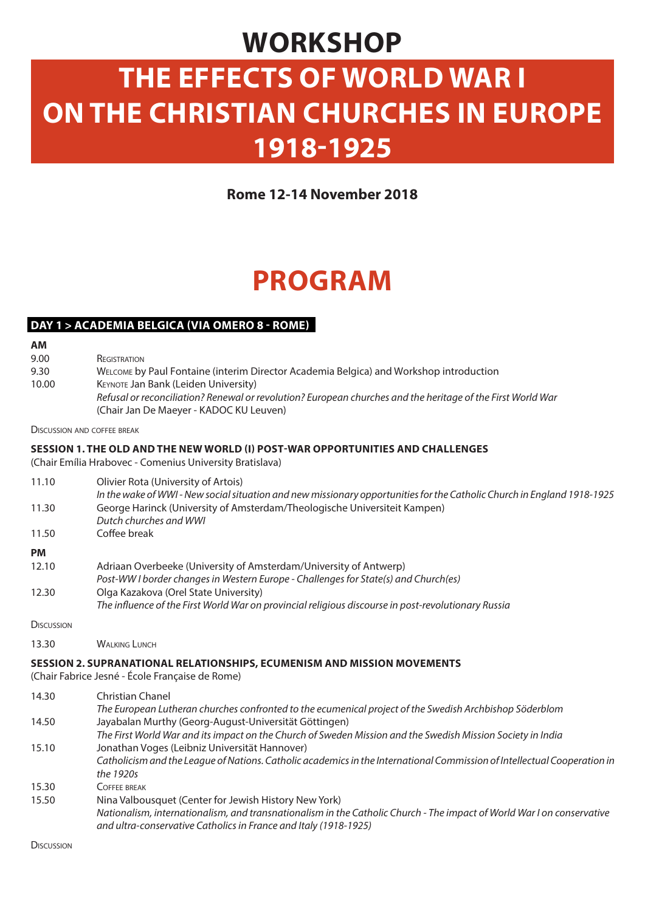### **WORKSHOP**

# **THE EFFECTS OF WORLD WAR I ON THE CHRISTIAN CHURCHES IN EUROPE 1918-1925**

**Rome 12-14 November 2018**

## **PROGRAM**

#### **DAY 1 > ACADEMIA BELGICA (VIA OMERO 8 - ROME)**

**AM**

9.00 **REGISTRATION** 

9.30 10.00 Welcome by Paul Fontaine (interim Director Academia Belgica) and Workshop introduction KEYNOTE Jan Bank (Leiden University) *Refusal or reconciliation? Renewal or revolution? European churches and the heritage of the First World War*  (Chair Jan De Maeyer - KADOC KU Leuven)

**DISCUSSION AND COFFEE BREAK** 

#### **SESSION 1. THE OLD AND THE NEW WORLD (I) POST-WAR OPPORTUNITIES AND CHALLENGES**

(Chair Emília Hrabovec - Comenius University Bratislava)

| 11.10             | Olivier Rota (University of Artois)<br>In the wake of WWI-New social situation and new missionary opportunities for the Catholic Church in England 1918-1925 |
|-------------------|--------------------------------------------------------------------------------------------------------------------------------------------------------------|
| 11.30             | George Harinck (University of Amsterdam/Theologische Universiteit Kampen)<br>Dutch churches and WWI                                                          |
| 11.50             | Coffee break                                                                                                                                                 |
| <b>PM</b>         |                                                                                                                                                              |
| 12.10             | Adriaan Overbeeke (University of Amsterdam/University of Antwerp)<br>Post-WW I border changes in Western Europe - Challenges for State(s) and Church(es)     |
| 12.30             | Olga Kazakova (Orel State University)<br>The influence of the First World War on provincial religious discourse in post-revolutionary Russia                 |
| <b>DISCUSSION</b> |                                                                                                                                                              |

13.30 WALKING LUNCH

#### **SESSION 2. SUPRANATIONAL RELATIONSHIPS, ECUMENISM AND MISSION MOVEMENTS**

(Chair Fabrice Jesné - École Française de Rome)

| 14.30 | <b>Christian Chanel</b>                                                                                                  |
|-------|--------------------------------------------------------------------------------------------------------------------------|
|       | The European Lutheran churches confronted to the ecumenical project of the Swedish Archbishop Söderblom                  |
| 14.50 | Jayabalan Murthy (Georg-August-Universität Göttingen)                                                                    |
|       | The First World War and its impact on the Church of Sweden Mission and the Swedish Mission Society in India              |
| 15.10 | Jonathan Voges (Leibniz Universität Hannover)                                                                            |
|       | Catholicism and the League of Nations. Catholic academics in the International Commission of Intellectual Cooperation in |
|       | the 1920s                                                                                                                |
| 15.30 | COFFEE BREAK                                                                                                             |
| 15.50 | Nina Valbousquet (Center for Jewish History New York)                                                                    |
|       | Nationalism, internationalism, and transnationalism in the Catholic Church - The impact of World War I on conservative   |
|       | and ultra-conservative Catholics in France and Italy (1918-1925)                                                         |

Discussion